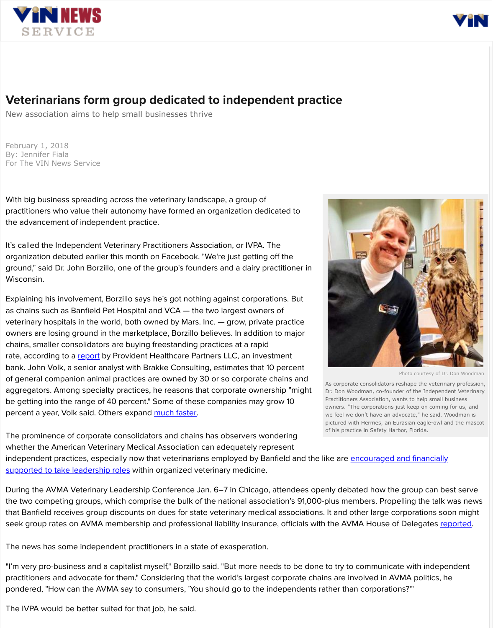

Photo courtesy of Dr. Don Woodman

As corporate consolidators reshape the veterinary profession, Dr. Don Woodman, co-founder of the Independent Veterinary Practitioners Association, wants to help small business owners. "The corporations just keep on coming for us, and we feel we don't have an advocate," he said. Woodman is pictured with Hermes, an Eurasian eagle-owl and the mascot of his practice in Safety Harbor, Florida.



[independent practices, especially now that veterinarians employed by Ban](https://www.banfield.com/about-us/news-room/press-releases-announcements/banfield-pet-hospital-helps-lead-the-veterinary-pr)field and the like are encouraged and financially



# Veterinarians form group dedicated to independent practice

New association aims to help small businesses thrive

Explaining his involvement, Borzillo says he's got nothing against corporations. But as chains such as Banfield Pet Hospital and VCA — the two largest owners of veterinary hospitals in the world, both owned by Mars. Inc. — grow, private practice owners are losing ground in the marketplace, Borzillo believes. In addition to major chains, smaller consolidators are buying freestanding practices at a rapid rate, according to a [report](http://www.providenthp.com/q2-2017-veterinary-industry-update/) by Provident Healthcare Partners LLC, an investment bank. John Volk, a senior analyst with Brakke Consulting, estimates that 10 percent of general companion animal practices are owned by 30 or so corporate chains and aggregators. Among specialty practices, he reasons that corporate ownership "might be getting into the range of 40 percent." Some of these companies may grow 10 percent a year, Volk said. Others expand [much faster.](https://about.petco.com/2017-05-15-Petco-Expanding-Vet-Services-Through-Joint-Venture-with-Austin-based-Thrive-Affordable-Vet-Care)

February 1, 2018 By: Jennifer Fiala For The VIN News Service

With big business spreading across the veterinary landscape, a group of practitioners who value their autonomy have formed an organization dedicated to the advancement of independent practice.

It's called the Independent Veterinary Practitioners Association, or IVPA. The organization debuted earlier this month on Facebook. "We're just getting off the ground," said Dr. John Borzillo, one of the group's founders and a dairy practitioner in Wisconsin.

During the AVMA Veterinary Leadership Conference Jan. 6–7 in Chicago, attendees openly debated how the group can best serve the two competing groups, which comprise the bulk of the national association's 91,000-plus members. Propelling the talk was news that Banfield receives group discounts on dues for state veterinary medical associations. It and other large corporations soon might seek group rates on AVMA membership and professional liability insurance, officials with the AVMA House of Delegates [reported.](http://news.vin.com/VINNews.aspx?articleId=47337)

The prominence of corporate consolidators and chains has observers wondering whether the American Veterinary Medical Association can adequately represent

The news has some independent practitioners in a state of exasperation.

"I'm very pro-business and a capitalist myself," Borzillo said. "But more needs to be done to try to communicate with independent practitioners and advocate for them." Considering that the world's largest corporate chains are involved in AVMA politics, he pondered, "How can the AVMA say to consumers, 'You should go to the independents rather than corporations?'"

The IVPA would be better suited for that job, he said.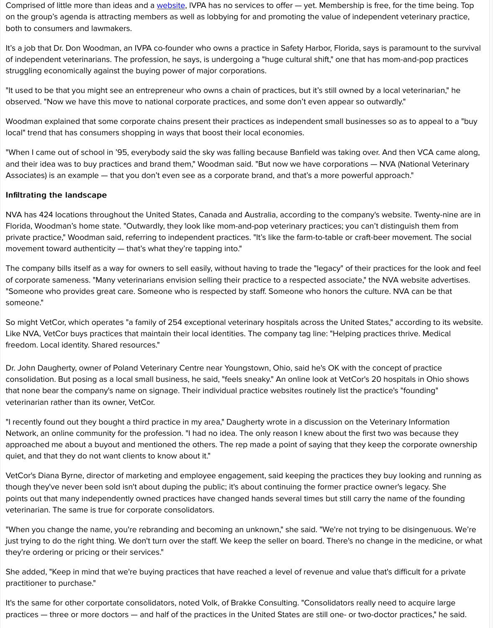Comprised of little more than ideas and a [website,](http://www.iveterinarians.org/) IVPA has no services to offer - yet. Membership is free, for the time being. Top on the group's agenda is attracting members as well as lobbying for and promoting the value of independent veterinary practice, both to consumers and lawmakers.

It's a job that Dr. Don Woodman, an IVPA co-founder who owns a practice in Safety Harbor, Florida, says is paramount to the survival of independent veterinarians. The profession, he says, is undergoing a "huge cultural shift," one that has mom-and-pop practices struggling economically against the buying power of major corporations.

"It used to be that you might see an entrepreneur who owns a chain of practices, but it's still owned by a local veterinarian," he observed. "Now we have this move to national corporate practices, and some don't even appear so outwardly."

Woodman explained that some corporate chains present their practices as independent small businesses so as to appeal to a "buy local" trend that has consumers shopping in ways that boost their local economies.

"When I came out of school in '95, everybody said the sky was falling because Banfield was taking over. And then VCA came along, and their idea was to buy practices and brand them," Woodman said. "But now we have corporations — NVA (National Veterinary Associates) is an example — that you don't even see as a corporate brand, and that's a more powerful approach."

### Infiltrating the landscape

NVA has 424 locations throughout the United States, Canada and Australia, according to the company's website. Twenty-nine are in Florida, Woodman's home state. "Outwardly, they look like mom-and-pop veterinary practices; you can't distinguish them from private practice," Woodman said, referring to independent practices. "It's like the farm-to-table or craft-beer movement. The social movement toward authenticity — that's what they're tapping into."

The company bills itself as a way for owners to sell easily, without having to trade the "legacy" of their practices for the look and feel of corporate sameness. "Many veterinarians envision selling their practice to a respected associate," the NVA website advertises. "Someone who provides great care. Someone who is respected by staff. Someone who honors the culture. NVA can be that someone."

So might VetCor, which operates "a family of 254 exceptional veterinary hospitals across the United States," according to its website. Like NVA, VetCor buys practices that maintain their local identities. The company tag line: "Helping practices thrive. Medical freedom. Local identity. Shared resources."

Dr. John Daugherty, owner of Poland Veterinary Centre near Youngstown, Ohio, said he's OK with the concept of practice consolidation. But posing as a local small business, he said, "feels sneaky." An online look at VetCor's 20 hospitals in Ohio shows that none bear the company's name on signage. Their individual practice websites routinely list the practice's "founding" veterinarian rather than its owner, VetCor.

"I recently found out they bought a third practice in my area," Daugherty wrote in a discussion on the Veterinary Information Network, an online community for the profession. "I had no idea. The only reason I knew about the first two was because they approached me about a buyout and mentioned the others. The rep made a point of saying that they keep the corporate ownership quiet, and that they do not want clients to know about it."

VetCor's Diana Byrne, director of marketing and employee engagement, said keeping the practices they buy looking and running as though they've never been sold isn't about duping the public; it's about continuing the former practice owner's legacy. She points out that many independently owned practices have changed hands several times but still carry the name of the founding veterinarian. The same is true for corporate consolidators.

"When you change the name, you're rebranding and becoming an unknown," she said. "We're not trying to be disingenuous. We're just trying to do the right thing. We don't turn over the staff. We keep the seller on board. There's no change in the medicine, or what they're ordering or pricing or their services."

She added, "Keep in mind that we're buying practices that have reached a level of revenue and value that's difficult for a private practitioner to purchase."

It's the same for other corportate consolidators, noted Volk, of Brakke Consulting. "Consolidators really need to acquire large practices — three or more doctors — and half of the practices in the United States are still one- or two-doctor practices," he said.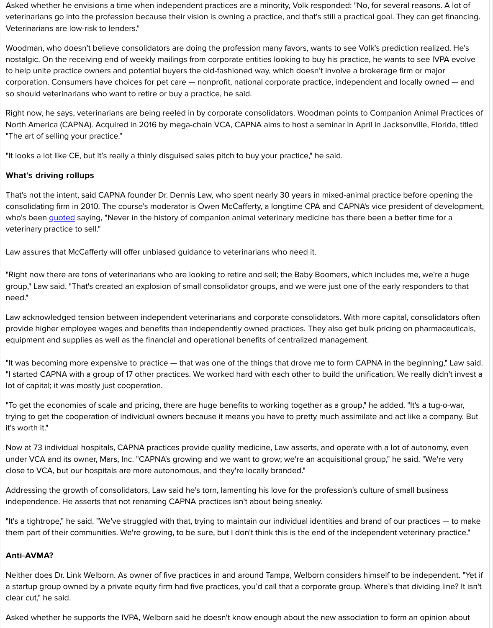Asked whether he envisions a time when independent practices are a minority, Volk responded: "No, for several reasons. A lot of veterinarians go into the profession because their vision is owning a practice, and that's still a practical goal. They can get financing. Veterinarians are low-risk to lenders."

Woodman, who doesn't believe consolidators are doing the profession many favors, wants to see Volk's prediction realized. He's nostalgic. On the receiving end of weekly mailings from corporate entities looking to buy his practice, he wants to see IVPA evolve to help unite practice owners and potential buyers the old-fashioned way, which doesn't involve a brokerage firm or major corporation. Consumers have choices for pet care — nonprofit, national corporate practice, independent and locally owned — and so should veterinarians who want to retire or buy a practice, he said.

Right now, he says, veterinarians are being reeled in by corporate consolidators. Woodman points to Companion Animal Practices of North America (CAPNA). Acquired in 2016 by mega-chain VCA, CAPNA aims to host a seminar in April in Jacksonville, Florida, titled "The art of selling your practice."

"It looks a lot like CE, but it's really a thinly disguised sales pitch to buy your practice," he said.

## What's driving rollups

That's not the intent, said CAPNA founder Dr. Dennis Law, who spent nearly 30 years in mixed-animal practice before opening the consolidating firm in 2010. The course's moderator is Owen McCafferty, a longtime CPA and CAPNA's vice president of development, who's been [quoted](http://veterinarynews.dvm360.com/fishing-acquisitions-12-things-corporations-look-veterinary-practice) saying, "Never in the history of companion animal veterinary medicine has there been a better time for a veterinary practice to sell."

Law assures that McCafferty will offer unbiased guidance to veterinarians who need it.

"Right now there are tons of veterinarians who are looking to retire and sell; the Baby Boomers, which includes me, we're a huge group," Law said. "That's created an explosion of small consolidator groups, and we were just one of the early responders to that need."

Law acknowledged tension between independent veterinarians and corporate consolidators. With more capital, consolidators often provide higher employee wages and benefits than independently owned practices. They also get bulk pricing on pharmaceuticals, equipment and supplies as well as the financial and operational benefits of centralized management.

"It was becoming more expensive to practice — that was one of the things that drove me to form CAPNA in the beginning," Law said. "I started CAPNA with a group of 17 other practices. We worked hard with each other to build the unification. We really didn't invest a lot of capital; it was mostly just cooperation.

"To get the economies of scale and pricing, there are huge benefits to working together as a group," he added. "It's a tug-o-war, trying to get the cooperation of individual owners because it means you have to pretty much assimilate and act like a company. But it's worth it."

Now at 73 individual hospitals, CAPNA practices provide quality medicine, Law asserts, and operate with a lot of autonomy, even under VCA and its owner, Mars, Inc. "CAPNA's growing and we want to grow; we're an acquisitional group," he said. "We're very

close to VCA, but our hospitals are more autonomous, and they're locally branded."

Addressing the growth of consolidators, Law said he's torn, lamenting his love for the profession's culture of small business independence. He asserts that not renaming CAPNA practices isn't about being sneaky.

"It's a tightrope," he said. "We've struggled with that, trying to maintain our individual identities and brand of our practices — to make them part of their communities. We're growing, to be sure, but I don't think this is the end of the independent veterinary practice."

#### Anti-AVMA?

Neither does Dr. Link Welborn. As owner of five practices in and around Tampa, Welborn considers himself to be independent. "Yet if a startup group owned by a private equity firm had five practices, you'd call that a corporate group. Where's that dividing line? It isn't clear cut," he said.

Asked whether he supports the IVPA, Welborn said he doesn't know enough about the new association to form an opinion about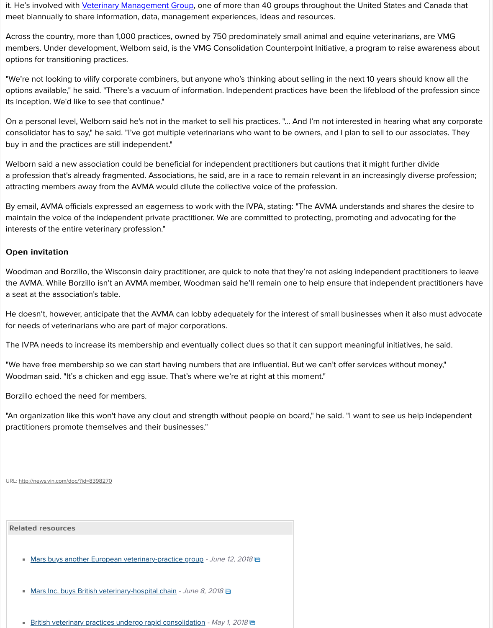it. He's involved with *Veterinary Management Group*, one of more than 40 groups throughout the United States and Canada that meet biannually to share information, data, management experiences, ideas and resources.

Across the country, more than 1,000 practices, owned by 750 predominately small animal and equine veterinarians, are VMG members. Under development, Welborn said, is the VMG Consolidation Counterpoint Initiative, a program to raise awareness about options for transitioning practices.

"We're not looking to vilify corporate combiners, but anyone who's thinking about selling in the next 10 years should know all the options available," he said. "There's a vacuum of information. Independent practices have been the lifeblood of the profession since its inception. We'd like to see that continue."

On a personal level, Welborn said he's not in the market to sell his practices. "... And I'm not interested in hearing what any corporate consolidator has to say," he said. "I've got multiple veterinarians who want to be owners, and I plan to sell to our associates. They buy in and the practices are still independent."

Welborn said a new association could be beneficial for independent practitioners but cautions that it might further divide a profession that's already fragmented. Associations, he said, are in a race to remain relevant in an increasingly diverse profession; attracting members away from the AVMA would dilute the collective voice of the profession.

By email, AVMA officials expressed an eagerness to work with the IVPA, stating: "The AVMA understands and shares the desire to maintain the voice of the independent private practitioner. We are committed to protecting, promoting and advocating for the interests of the entire veterinary profession."

#### **Open invitation**

Woodman and Borzillo, the Wisconsin dairy practitioner, are quick to note that they're not asking independent practitioners to leave the AVMA. While Borzillo isn't an AVMA member, Woodman said he'll remain one to help ensure that independent practitioners have a seat at the association's table.

He doesn't, however, anticipate that the AVMA can lobby adequately for the interest of small businesses when it also must advocate for needs of veterinarians who are part of major corporations.

The IVPA needs to increase its membership and eventually collect dues so that it can support meaningful initiatives, he said.

"We have free membership so we can start having numbers that are influential. But we can't offer services without money," Woodman said. "It's a chicken and egg issue. That's where we're at right at this moment."

Borzillo echoed the need for members.

"An organization like this won't have any clout and strength without people on board," he said. "I want to see us help independent practitioners promote themselves and their businesses."

#### URL:<http://news.vin.com/doc/?id=8398270>

#### Related resources Related resources

- [Mars buys another European veterinary-practice group](http://news.vin.com/doc/?id=8597182) June 12, 2018
- [Mars Inc. buys British veterinary-hospital chain](http://news.vin.com/doc/?id=8592211) June 8, 2018  $\blacksquare$

[British veterinary practices undergo rapid consolidation](http://news.vin.com/doc/?id=8534062) - May 1, 2018